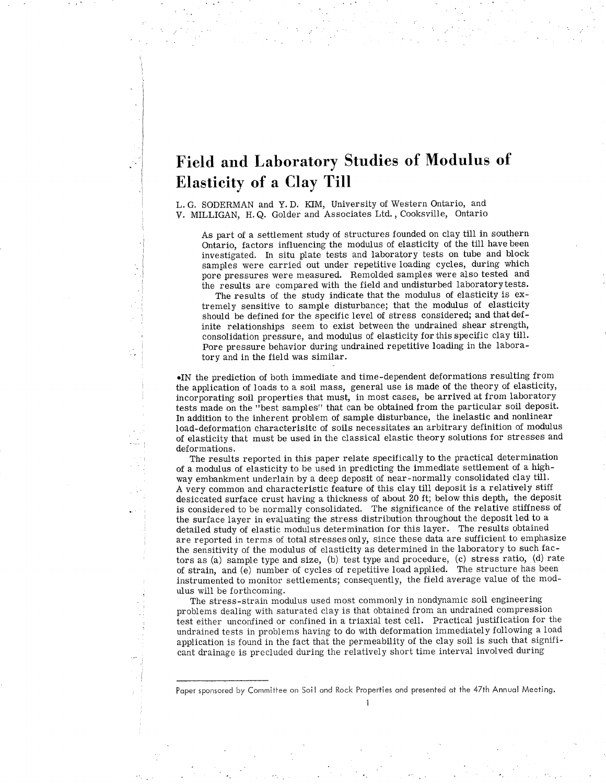# Field and Laboratory Studies of Modulus of Elasticity of a Clay Till

L. G. SODERMAN and Y. D. KIM, University of Western Ontario, and V. MILLIGAN, H.Q. Golder and Associates Ltd., Cooksville, Ontario

As part of a setilement study of structures founded on clay till in southern Ontario, factors influencing the modulus of elasticity of the till have been investigated. In situ plate tests and laboratory tests on tube and block samples were carried out under repetitive loading cycles, during which pore pressures were measured. Remolded samples were also tested and the results are compared with the fieid and undisturbed laboratorytests.

The results of the study indicate that the modulus of elasticity is extremely sensitive to sample disturbance; that the modulus of elasticity should be defined for the specific level of stress considered; and that definite relationships seem to exist between the undrained shear strength, consolidation pressure, and modulus of elasticity for this specific clay till. Pore pressure behavior during undrained repetitive loading in the laboratory and in the field was similar.

¡IN the predictÍon of both immediate and time-dependent deformations resulting from the application of loads to a soil mass, general use is made of the theory of elasticity, incorporating soil properties that must, in most cases, be arrived at from laboratory tests made on the "best samples" that can be obtained from the particular soil deposit. In addition to the inherent problem of sample disturbance, the inelastic and nonlinear load-deformation characterisitc of soils necessitates an arbitrary definition of modulus of elasticity that must be used in the classical elastic theory solutions for stresses and deformations.

The results reported in this paper relate specifically to the practical determination of a modulus of elasticity to be used in predicting the immediate settlement of a highway embankment underlain by a deep deposit of near-normally consolidated clay till. A very common and characteristic feature of this clay till deposit is a relatively stiff desiccated surface crust having a thickness of about 20 ft; below this depth, the deposit is considered to be normally consolidated. The significance of the relative stiffness of the surface layer in evaluating the stress distribution throughout the deposit led to <sup>a</sup> detailed study of elastic modulus determination for this layer. The results obtained are reported in terms of total stresses only, since these data are sufficient to emphasize the sensitivity of the modulus of elasticity as determined in the laboratory to such factors as (a) sãmple type and size, (b) tesi type and procedure, (c) stress ratio, (d) rate of strain, and (e) number of cycles of repetitive load applied. The structure has been instrumented to monitor settlements; consequently, the field average value of the modulus will be forthcoming.

The stress-strain modulus used most commonly in nondynamic soil engineering problems dealing with saturated clay is that obtained from an undrained compression test either unconfined or confined in a triaxial test cell. Practical justification for the undrained tests in problems having to do with deformation immediately following a load application is found in the fact that the permeability of the clay soil is such that significant drainage is precluded during the relatively short time interval involved during

Popersponsored by Commitiee on Soil ond Rock Properties ond presented ot the 47th Annuol Meeting. I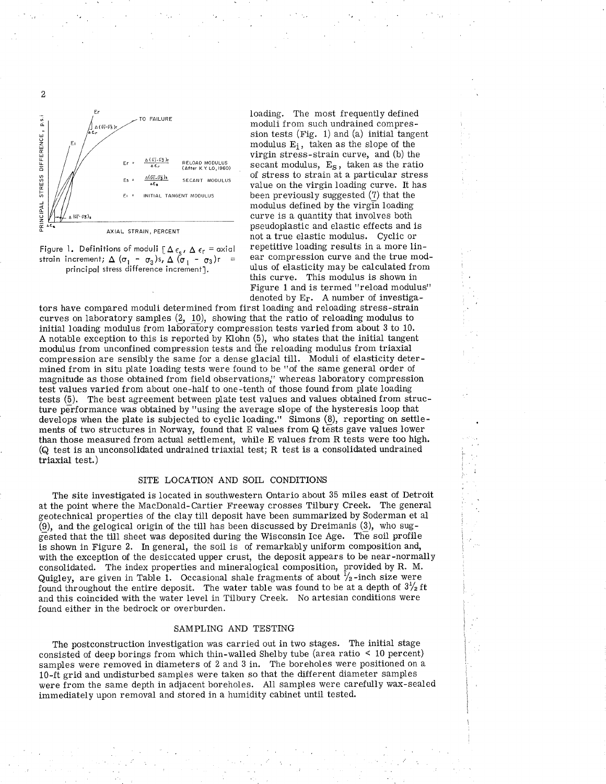

Figure 1. Definitions of moduli  $[\Delta \epsilon_{s}, \Delta \epsilon_{r}]$  = axial strain increment;  $\Delta$  ( $\sigma_1$  -  $\sigma_3$ )s,  $\Delta$  ( $\sigma_1$  -  $\sigma_3$ )r = principal stress difference increment].

loading. The most frequently defined moduli from such undrained compression tests (Fig. 1) and (a) initial tangent modulus  $E_i$ , taken as the slope of the virgin stress-strain curve, and (b) the secant modulus,  $E_S$ , taken as the ratio of stress to strain at a particular stress value on the virgin loading curve. It has been previously suggested (7) that the modulus defined by the virgin loading curve is a quantity that involves both pseudoplastic and elastic effects and is not a true elastic modulus. Cyclic or repetitive loading results in a more linear compression curve and the true modulus of elasticity may be calculated from this curve. This modulus is shown in Figure 1 and is termed "reload modulus" denoted by Er. A number of investiga-

tors have compared moduli determined from first loading and reloading stress-strain curves on laboratory samples (¿, 10), showing that the ratio of reloading modulus to initial loading modulus from laboratory compression tests varied from about 3 to 10. A notable exception to this is reported by Klohn (5), who states that the initial tangent modulus from unconfined compression tests and the reloading modulus from triaxial compression are sensibly the same for a dense glacial till. Moduli of elasticity determined from in situ plate loading tests were found to be "of the same general order of magnitude as those obtained from field observations," whereas laboratory compression test values varied from about one-half to one-tenth of those found from plate loading tests (5). The best agreement between plate test values and values obtained from structure performance was obtained by "using the average slope of the hysteresis loop that develops when the plate is subjected to cyclic loading." Simons (8), reporting on settlements of two structures in Norway, found that E values from  $Q$  tests gave values lower than those measured from actual settlement, while E values from R tests were too high. (Q test is an unconsolidated undrained triaxial test; R test is a consolidated undrained triaxial test.)

# SITE LOCATION AND SOIL CONDITIONS

The site investigated is located in southwestern Ontario about 35 miles east of Detroit at the point where the MacDonald-Cartier Freeway crosses Tilbury Creek. The general geotechnical properties of the clay till deposit have been summarized by Soderman et al (9), and the gelogical origin of the till has been discussed by Dreimanis (9), who suggested that the till sheet was deposited during the Wisconsin Ice Age. The soil profile is shown in Figure 2. In general, the soil is of remarkably uniform composition and, with the exception of the desiccated upper crust, the deposit appears to be near-normally consolidated. The index properties and mineralogical composition, provided by R. M. Quigley, are given in Table 1. Occasional shale fragments of about  $\frac{1}{2}$ -inch size were found throughout the entire deposit. The water table was found to be at a depth of  $3\frac{1}{2}$  ft and this coincided with the water level in Tilbury Creek. No artesian conditions were found either in the bedrock or overburden.

# SAMPLING AND TESTING

The postconstruction investigation was carried out in two stages. The initial stage consisted of deep borings from which thin-walled Shelby tube (area ratio  $\leq 10$  percent) samples were removed in diameters of 2 and 3 in. The boreholes were positioned on a 10-ft grid and undisturbed samples were taken so that the different diameter samples were from the same depth in adjacent boreholes. All samples were carefully wax-sealed immediately upon removal and stored in a humidity cabinet until tested.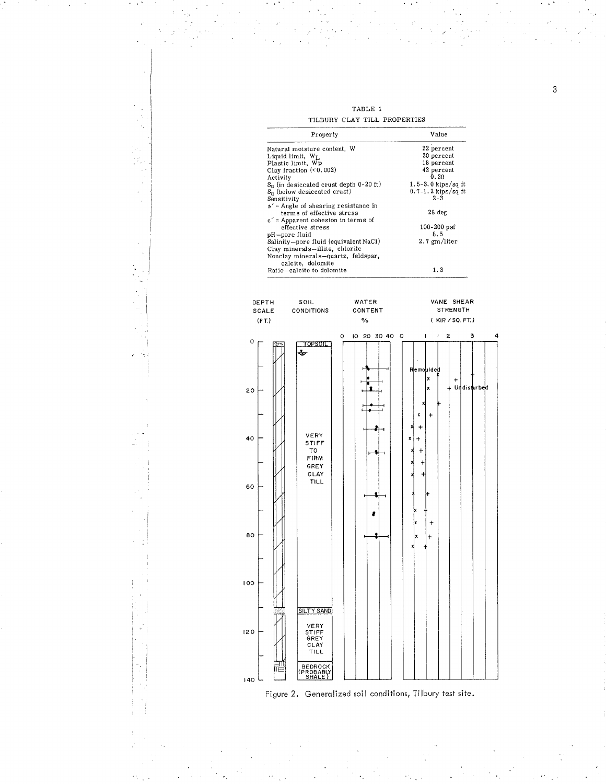TABLE 1 TILBURY CLAY TILL PROPERTIES

|                        | THRONT CLAI THE FROFERIES<br>Property                                                                                                                                                                                                                                                                                                                                                                                                                                                                                                                    |                                                     | Value                 |                                                                                                                                                                                        |   |  |
|------------------------|----------------------------------------------------------------------------------------------------------------------------------------------------------------------------------------------------------------------------------------------------------------------------------------------------------------------------------------------------------------------------------------------------------------------------------------------------------------------------------------------------------------------------------------------------------|-----------------------------------------------------|-----------------------|----------------------------------------------------------------------------------------------------------------------------------------------------------------------------------------|---|--|
|                        | Natural moisture content, W<br>Liquid limit, W <sub>L</sub><br>Plastic limit, WP<br>Clay fraction $(0.002)$<br>Activity<br>$S_u$ (in desiccated crust depth 0-20 ft)<br>S <sub>u</sub> (below desiccated crust)<br>Sensitivity<br>$\phi'$ = Angle of shearing resistance in<br>terms of effective stress<br>$c'$ = Apparent cohesion in terms of<br>effective stress<br>pH-pore fluid<br>Salinity-pore fluid (equivalent NaCl)<br>Clay minerals-illite, chlorite<br>Nonclay minerals-quartz, feldspar,<br>calcite, dolomite<br>Ratio-calcite to dolomite |                                                     |                       | 22 percent<br>30 percent<br>18 percent<br>42 percent<br>0.30<br>$1.5-3.0$ kips/sq ft<br>$0.7 - 1.2$ kips/sq ft<br>$2 - 3$<br>28 deg<br>$100 - 200$ psf<br>8.5<br>$2.7$ gm/liter<br>1.3 |   |  |
| DEPTH<br>SCALE<br>(FT) |                                                                                                                                                                                                                                                                                                                                                                                                                                                                                                                                                          | SOIL<br><b>CONDITIONS</b>                           | WATER<br>CONTENT<br>% | VANE SHEAR<br><b>STRENGTH</b><br>(KIP/SQ, FT.)                                                                                                                                         |   |  |
| о                      |                                                                                                                                                                                                                                                                                                                                                                                                                                                                                                                                                          | TOPSOIL                                             | 10 20 30 40 0<br>о    | $\mathsf{I}$<br>$\epsilon$ .<br>2<br>3                                                                                                                                                 | 4 |  |
| 20                     |                                                                                                                                                                                                                                                                                                                                                                                                                                                                                                                                                          |                                                     |                       | Remoulded<br>x<br>+<br>Undisturbed<br>x<br>x<br>x<br>+<br>x<br>+                                                                                                                       |   |  |
| 40                     |                                                                                                                                                                                                                                                                                                                                                                                                                                                                                                                                                          | VERY<br>STIFF<br>то<br>FIRM<br>GREY<br>CLAY<br>TILL |                       | x<br>+<br>t                                                                                                                                                                            |   |  |
| 60<br>80               |                                                                                                                                                                                                                                                                                                                                                                                                                                                                                                                                                          |                                                     |                       | +<br>$\ddot{}$<br>x                                                                                                                                                                    |   |  |
|                        |                                                                                                                                                                                                                                                                                                                                                                                                                                                                                                                                                          |                                                     |                       |                                                                                                                                                                                        |   |  |
| 100                    |                                                                                                                                                                                                                                                                                                                                                                                                                                                                                                                                                          | <b>SILTY SAND</b>                                   |                       |                                                                                                                                                                                        |   |  |
| 120                    |                                                                                                                                                                                                                                                                                                                                                                                                                                                                                                                                                          | VERY<br>STIFF<br>GREY<br>CLAY<br>TILL               |                       |                                                                                                                                                                                        |   |  |
| 140                    | Figure 2.                                                                                                                                                                                                                                                                                                                                                                                                                                                                                                                                                | BEDROCK<br>ROBABLY                                  |                       | Generalized soil conditions, Tilbury test site.                                                                                                                                        |   |  |
|                        |                                                                                                                                                                                                                                                                                                                                                                                                                                                                                                                                                          |                                                     |                       |                                                                                                                                                                                        |   |  |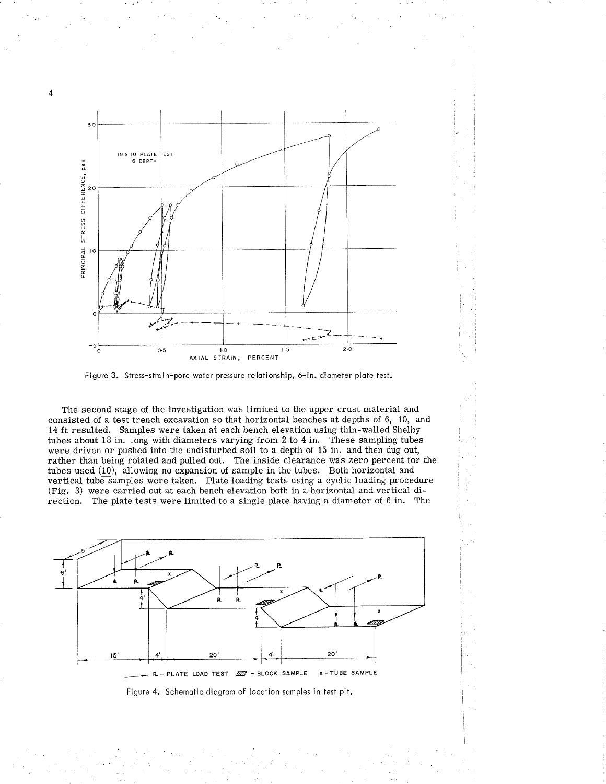

Figure 3. Stress-strain-pore water pressure relationship, 6-in. diameter plate test.

The second stage of the investigation was limited to the upper crust material and consisted of a test trench excavation so that horizontal benches at depths of 6, 10, and 14 ft resulted. Samples were taken at each bench elevation using thin-walled Shelby tubes about 18 in. long with diameters varying from 2 to 4 in. These sampling tubes were driven or pushed into the undisturbed soil to a depth of 15 in. and then dug out, rather than being rotated and pulled out. The inside clearance was zero percent for the tubes used (10), allowing no expansion of sample in the tubes. Both horizontal and vertical tube samples were taken. Plate loading tests using a cyclic loading procedure (Fig. 3) were carried out at each bench elevation both in a horizontal and vertical direction. The plate tests were limited to a single plate having a diameter of 6 in. The

V.



Figure 4. Schematic diagram of location samples in test pit.

 $\overline{4}$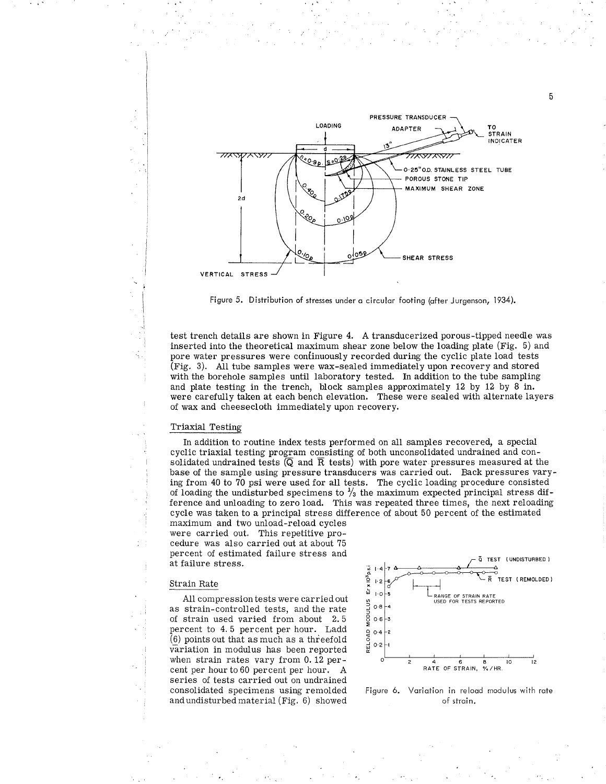

Figure 5. Distribution of stresses under a circular footing (after Jurgenson, 1934).

test trench details are shown in Figure 4. A transducerized porous-tipped needle was inserted into the theoretical maximum shear zone below the loading plate (Fig. 5) and pore water pressures were continuously recorded during the cyclic plate load tests (Fig. 3). All tube samples were wax-sealed immediately upon recovery and stored with the borehole samples until laboratory tested. In addition to the tube sampling and plate testing in the trench, block samples approximately 12 by 12 by 8 in. were carefully taken at each bench elevation. These were sealed with alternate layers of wax and cheesecloth immediately upon recovery.

## Triaxial Testing

In addition to routine index tests performed on all samples recovered, a special cyclic triaxial testing program consisting of both unconsolidated undrained and consolidated undrained tests  $(\overline{Q}$  and  $\overline{R}$  tests) with pore water pressures measured at the base of the sample using pressure transducers was carried out. Back pressures varying from 40 to 70 psi were used for all tests. The cyclic loading procedure consisted of loading the undisturbed specimens to  $\frac{1}{3}$  the maximum expected principal stress difference and unloading to zero load. This was repeated three times, the next reloading cycle was taken to a principal stress difference of about 50 percent of the estimated

maximum and two unload-reload cycles were carried out. This repetitive procedure was also carried out at about 75 percent of estimated failure stress and at failure stress.

## Strain Rate

All compression tests were carried out as strain-controlled tests, and the rate of strain used varied from about 2.5 percent to 4.5 percent per hour. Ladd  $(6)$  points out that as much as a threefold variation in modulus has been reported when strain rates vary from 0.12 percent per hour to 60 percent per hour. A series of tests carried out on undrained consolidated specimens using remolded and undisturbed material (Fig. 6) showed



Figure 6. Variation in reload modulus with rate of strain.

5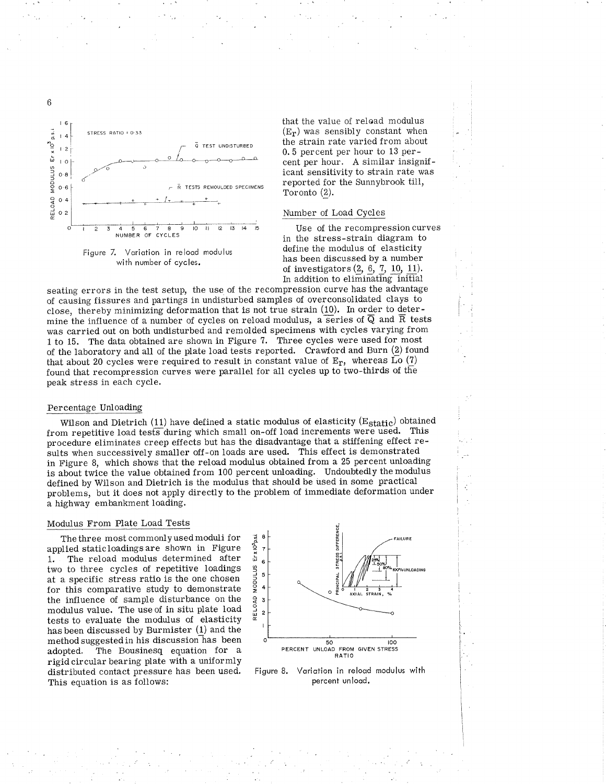



that the value of reload modulus  $(E_r)$  was sensibly constant when the strain rate varied from about 0.5 percent per hour to 13 percent per hour. A similar insignificant sensitivity to strain rate was reported for the Sunnybrook till, Toronto (2).

# Number of Load Cycles

Use of the recompression curves in the stress-strain diagram to define the modulus of elasticity has been discussed by a number of investigators  $(2, 6, 7, 10, 11)$ . In addition to eliminating initial

seating errors in the test setup, the use of the recompression curve has the advantage of causing fissures and partings in undisturbed samples of overconsolidated clays to close, thereby minimizing deformation that is not true strain (10). In order to determine the influence of a number of cycles on reload modulus, a series of  $\overline{Q}$  and  $\overline{R}$  tests was carried out on both undisturbed and remolded specimens with cycles varying from 1 to 15. The data obtained are shown in Figure 7. Three cycles were used for most of the laboratory and all of the plate load tests reported. Crawford and Burn (2) found that about 20 cycles were required to result in constant value of  $E_r$ , whereas  $\overline{Lo}$  (7) found that recompression curves were parallel for all cycles up to two-thirds of the peak stress in each cycle.

# Percentage Unloading

Wilson and Dietrich (11) have defined a static modulus of elasticity (Estatic) obtained from repetitive load tests during which small on-off load increments were used. This procedure eliminates creep effects but has the disadvantage that a stiffening effect results when successively smaller off-on loads are used. This effect is demonstrated in Figure 8, which shows that the reload modulus obtained from a 25 percent unloading is about twice the value obtained from 100 percent unloading. Undoubtedly the modulus defined by Wilson and Dietrich is the modulus that should be used in some practical problems, but it does not apply directly to the problem of immediate deformation under a highway embankment loading.

## Modulus From Plate Load Tests

The three most commonly used moduli for applied staticloadings are shown in Figure The reload modulus determined after  $1.$ two to three cycles of repetitive loadings at a specific stress ratio is the one chosen for this comparative study to demonstrate the influence of sample disturbance on the modulus value. The use of in situ plate load tests to evaluate the modulus of elasticity has been discussed by Burmister (1) and the method suggested in his discussion has been The Bousinesq equation for a adopted. rigid circular bearing plate with a uniformly distributed contact pressure has been used. This equation is as follows:



Figure 8. Variation in reload modulus with percent unload.

 $6\,$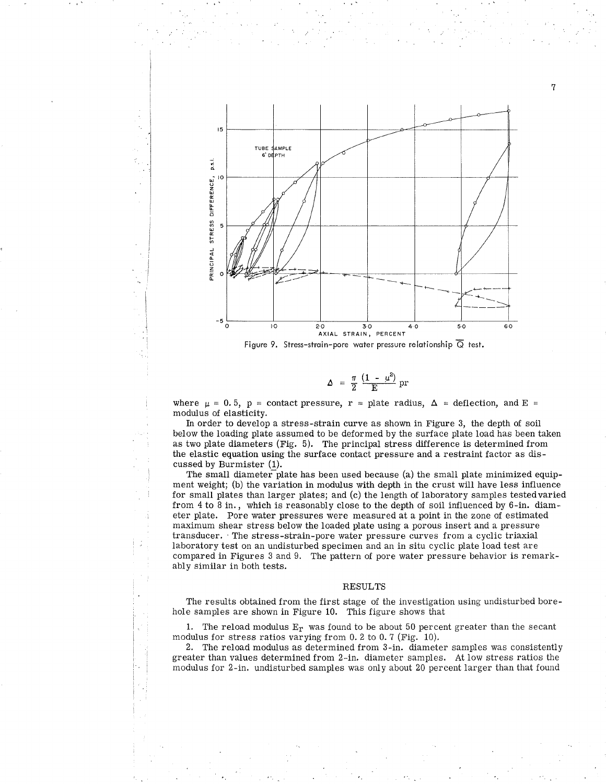

$$
\Delta = \frac{\pi}{2} \frac{(1 - \mu^2)}{E} pr
$$

where  $\mu = 0.5$ ,  $p =$  contact pressure,  $r =$  plate radius,  $\Delta =$  deflection, and E = modulus of elasticity.

In order to develop a stress-strain curve as shown in Figure 3, the depth of soil below the loading plate assumed to be deformed by the surface plate load has been taken as two plate diameters (Fig.  $5$ ). The principal stress difference is determined from the elastic equation using the surface contact pressure and a restraint factor as discussed by Burmister (1).

The small diameter plate has been used because (a) the small plate minimized equipment weight; (b) the variation in modulus with depth in the crust will have less influence for small plates than larger plates; and (c) the length of laboratory samples testedvaried from 4 to 8 in., which is reasonably close to the depth of soil influenced by 6-in. diameter plate. Pore water pressures were measured at a point in the zone of estimated maximum shear stress below the loaded plate using a porous insert and a pressure transducer. The stress-strain-pore water pressure curves from a cyclic triaxial laboratory test on an undisturbed specimen and an in situ cyclic plate load test are compared in Figures 3 and 9. The pattern of pore water pressure behavior is remarkably similar in both tests.

#### RESULTS

The results obtained from the first stage of the investigation using undisturbed borehole samples are shown in Figure 10. This figure shows that

1. The reload modulus  $E_r$  was found to be about 50 percent greater than the secant modulus for stress ratios varying from 0. 2 to 0. 7 (Fig. 10).

2. The reload modulus as determined from 3-in. diameter samples was consistently greater than values determined from 2-in. diameter samples. At low stress ratios the modulus for 2-in. undisturbed samples was only about 20 percent larger than that found

7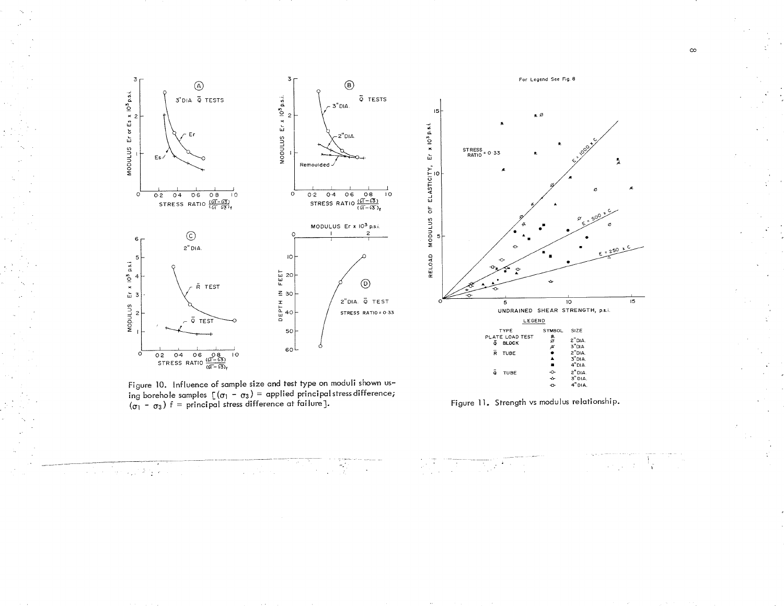

 $\frac{1}{2}$ 

 $\sim$   $\sim$ 

Figure 10. Influence of sample size and test type on moduli shown using borehole samples  $[(\sigma_1 - \sigma_3)$  = applied principal stress difference;<br>  $(\sigma_1 - \sigma_3)$  f = principal stress difference at failure].

 $\label{eq:2} \frac{1}{\sqrt{2}}\left(\frac{1}{\sqrt{2}}\right)^2\left(\frac{1}{\sqrt{2}}\right)^2\left(\frac{1}{\sqrt{2}}\right)^2.$ 

ian kutang k

a Gar

Figure 11. Strength vs modulus relationship.

 $\frac{1}{2}\sum_{i=1}^{n}\sum_{j=1}^{n}\frac{1}{j!}\sum_{j=1}^{n}\frac{1}{j!}\sum_{j=1}^{n}\frac{1}{j!}\sum_{j=1}^{n}\frac{1}{j!}\sum_{j=1}^{n}\frac{1}{j!}\sum_{j=1}^{n}\frac{1}{j!}\sum_{j=1}^{n}\frac{1}{j!}\sum_{j=1}^{n}\frac{1}{j!}\sum_{j=1}^{n}\frac{1}{j!}\sum_{j=1}^{n}\frac{1}{j!}\sum_{j=1}^{n}\frac{1}{j!}\sum_{j=1}^{n}\frac{1}{j!}\sum_{j=1}^{n}\frac{1$ 

 $\mathcal{L}$ 

 $\frac{1}{4}$ 

 $\mathcal{L}_{\text{max}}$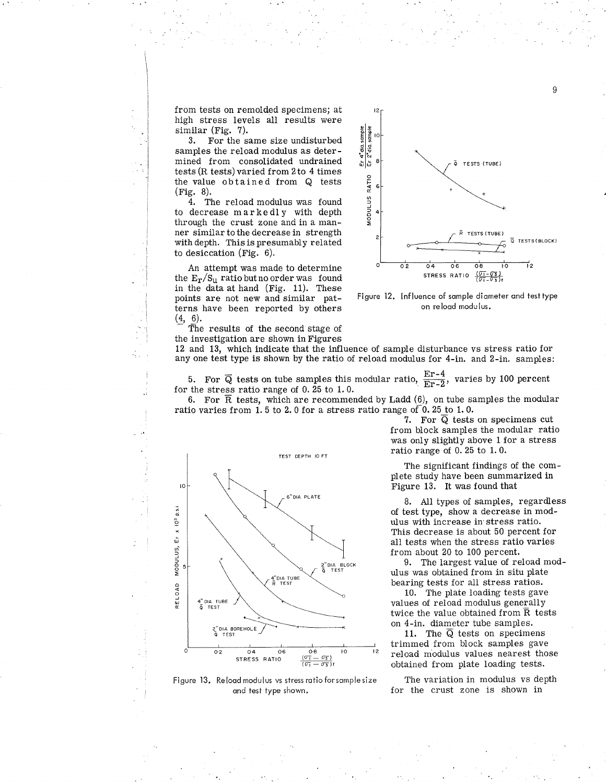from tests on remolded specimens; at high stress levels all results were similar ( $Fig. 7$ ).

I

:l

3. For the same size undisturbed samples the reload modulus as determined from consolidated undrained tests (R tests) varied from 2 to 4 times the value obtained from Q tests (Fis. 8).

4. The reload modulus was found to decrease markedly with depth through the crust zone and in a manner similar to the decrease in strength with depth. This is presumably related to desiccation (Fig.  $6$ ).

An attempt was made to determine the  $E_r/S_u$  ratiobut no order was found in the data at hand (Fig. 11). These points are not new and similar patterns have been reported by others  $(4, 6)$ .

The results of the second stage of the investigation are shown inFigures



9

Figure 12. lnfluence of somple diometer ond testtype on relood modulus.

12 and 13, which indicate that the influence of sample disturbance vs stress ratio for any one test type is shown by the ratio of reload modulus for 4-in. and 2-in. samples:

5. For  $\overline{Q}$  tests on tube samples this modular ratio,  $\frac{E\Gamma - 4}{E\Gamma - 2}$ , varies by 100 percent for the stress ratio range of 0.25 to 1.0. for the stress ratio range of 0.25 to 1.0.<br>6. For  $\overline{R}$  tests, which are recommended by Ladd (6), on tube samples the modular

ratio varies from 1.5 to 2.0 for a stress ratio range of 0.25 to 1.0.

7. For Q tests on specimens cut from block samples the modular ratio was only slightly above 1 for a stress ratio range of 0.25 to 1.0.

The significant findings of the complete study have been summarized in Figure 13. It was found that

8. AII types of samples, regardless of test type, show a decrease in modulus with increase in stress ratio. This decrease is about 50 percent for all tests when the stress ratio varies from about 20 to 100 percent.

9. The largest value of reload modulus was obtained from in situ plate bearing tests for all stress ratios.

10. The plate loading tests gave values of reload modulus generally twice the value obtained from  $\bar{R}$  tests on 4-in. diameter tube samples.

11. The  $\overline{Q}$  tests on specimens trimmed from block samples gave reload modulus values nearest those obtained from plate Ioading tests,

The variation in modulus vs depth for the crust zone is shown in



Figure 13. Relood modulus vs sf ress rotio forsomple size ond test type shown.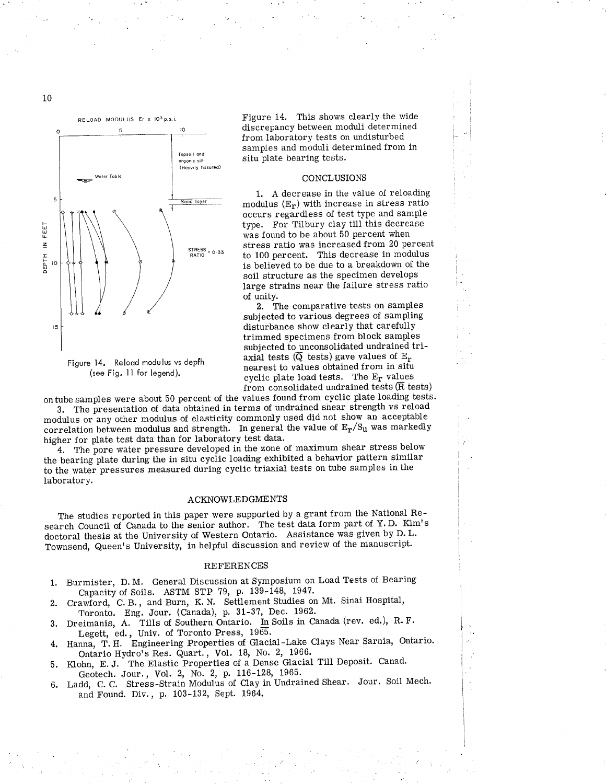

Figure 14. Reload modulus vs depth (see Fig. 11 for legend).

Figure 14. This shows clearly the wide discrepancy between moduli determined from laboratory tests on undisturbed samples and moduli determined from in situ plate bearing tests.

i t-

#### CONCLUSIONS

1. A decrease in the value of reloading modulus  $(E_r)$  with increase in stress ratio occurs regardless of test type and sample type. For Tilbury clay till this decrease was found to be about 50 percent when stress ratio was increased from 20 percent to 100 percent. This decrease in modulus is believed to be due to a breakdown of the soil structure as the specimen develops large strains near the failure stress ratio of unity.

2. The comparative tests on samples subjected to various degrees of sampling disturbance show clearly that carefully trimmed specimens from block samples subjected to unconsolidated undrained triaxial tests  $(\overline{Q}$  tests) gave values of  $E_r$ nearest to values obtained from in situ cyclic plate load tests. The  $E_r$  values from consolidated undrained tests ( $\overline{R}$  tests)

on tube samples were about 50 percent of the values found from cyclic plate loading tests.

3. The presentation of data obtained in terms of undrained shear strength vs reload modulus or any other modulus of elasticity commonly used did not show an acceptable correlation between modulus and strength. In general the value of  $E_r/S_u$  was markedly higher for plate test data than for laboratory test data.

4. The pore water pressure developed in the zone of maximum shear stress below the bearing plate during the in situ cyclic loading exhibited a behavior pattern similar to the water pressures measured during cyclic triaxial tests on tube samples in the laboratory.

#### ACKNOWLEDGMENTS

The studies reported in this paper were supported by a grant from the National Research Council of Canada to the senior author. The test data form part of Y.D. Kim's doctoral thesis at the University of Western Ontario. Assistance was given by D.L. Townsend, Queen's University, in helpful discussion and review of the manuscript.

#### REFERENCES

- Burmister, D. M. General Discussion at Symposium on Load Tests of Bearing Capacity of Soils. ASTM STP 79, p. 139-148, 1947. 1.
- Crawford, C.B., and Burn, K.N. Settlement Studies on Mt. Sinai Hospital, Toronto. Eng. Jour. (Canada), p. 31-3?, Dec. 1962. 2.
- 3. Dreimanis, A. Tills of Southern Ontario. In Soils in Canada (rev. ed.), R. F. Legett, ed., Univ. of Toronto Press, 1965.
- Legett, ed., Univ. of Toronto Press, 1965.<br>4. Hanna, T. H. Engineering Properties of Glacial-Lake Clays Near Sarnia, Ontario. Ontario Hydro's Res. Quart., Vol. 18, No. 2, 1966.
- 5. Klohn, E.J. The Elastic Properties of a Dense Glacial Till Deposit. Canad Geotech. Jour., Vol. 2, No. 2, p. 116-128, 1965.
- 6. Ladd, C. C. Stress-Strain Modulus of Clay in Undrained Shear. Jour. Soil Mech. and Found. Div., p. 103-132, Sept. 1964.

10